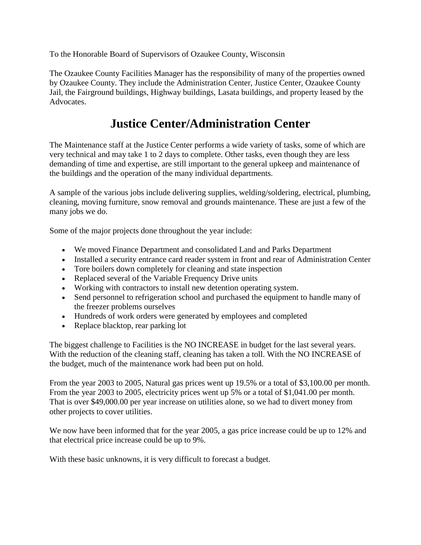To the Honorable Board of Supervisors of Ozaukee County, Wisconsin

The Ozaukee County Facilities Manager has the responsibility of many of the properties owned by Ozaukee County. They include the Administration Center, Justice Center, Ozaukee County Jail, the Fairground buildings, Highway buildings, Lasata buildings, and property leased by the Advocates.

## **Justice Center/Administration Center**

The Maintenance staff at the Justice Center performs a wide variety of tasks, some of which are very technical and may take 1 to 2 days to complete. Other tasks, even though they are less demanding of time and expertise, are still important to the general upkeep and maintenance of the buildings and the operation of the many individual departments.

A sample of the various jobs include delivering supplies, welding/soldering, electrical, plumbing, cleaning, moving furniture, snow removal and grounds maintenance. These are just a few of the many jobs we do.

Some of the major projects done throughout the year include:

- We moved Finance Department and consolidated Land and Parks Department
- Installed a security entrance card reader system in front and rear of Administration Center
- Tore boilers down completely for cleaning and state inspection
- Replaced several of the Variable Frequency Drive units
- Working with contractors to install new detention operating system.
- Send personnel to refrigeration school and purchased the equipment to handle many of the freezer problems ourselves
- Hundreds of work orders were generated by employees and completed
- Replace blacktop, rear parking lot

The biggest challenge to Facilities is the NO INCREASE in budget for the last several years. With the reduction of the cleaning staff, cleaning has taken a toll. With the NO INCREASE of the budget, much of the maintenance work had been put on hold.

From the year 2003 to 2005, Natural gas prices went up 19.5% or a total of \$3,100.00 per month. From the year 2003 to 2005, electricity prices went up 5% or a total of \$1,041.00 per month. That is over \$49,000.00 per year increase on utilities alone, so we had to divert money from other projects to cover utilities.

We now have been informed that for the year 2005, a gas price increase could be up to 12% and that electrical price increase could be up to 9%.

With these basic unknowns, it is very difficult to forecast a budget.